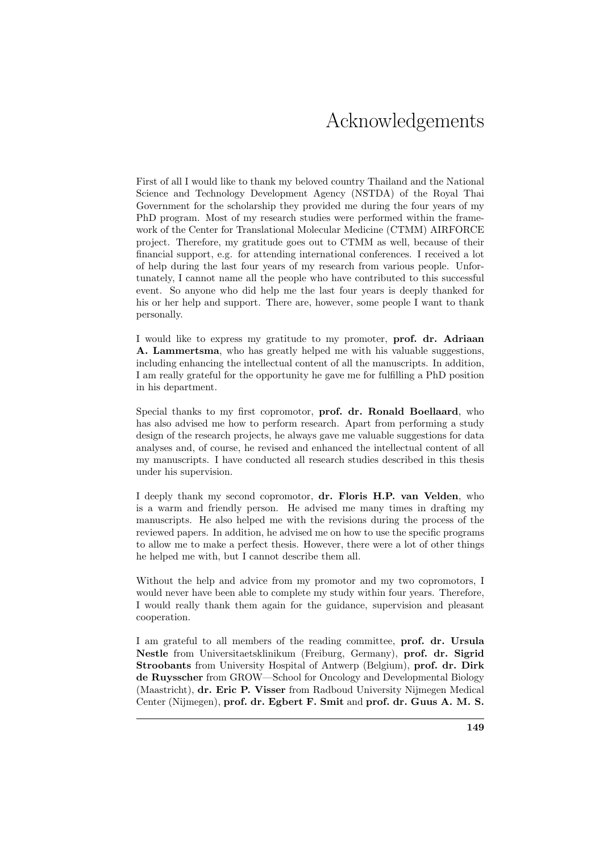## Acknowledgements

First of all I would like to thank my beloved country Thailand and the National Science and Technology Development Agency (NSTDA) of the Royal Thai Government for the scholarship they provided me during the four years of my PhD program. Most of my research studies were performed within the framework of the Center for Translational Molecular Medicine (CTMM) AIRFORCE project. Therefore, my gratitude goes out to CTMM as well, because of their financial support, e.g. for attending international conferences. I received a lot of help during the last four years of my research from various people. Unfortunately, I cannot name all the people who have contributed to this successful event. So anyone who did help me the last four years is deeply thanked for his or her help and support. There are, however, some people I want to thank personally.

I would like to express my gratitude to my promoter, prof. dr. Adriaan A. Lammertsma, who has greatly helped me with his valuable suggestions, including enhancing the intellectual content of all the manuscripts. In addition, I am really grateful for the opportunity he gave me for fulfilling a PhD position in his department.

Special thanks to my first copromotor, prof. dr. Ronald Boellaard, who has also advised me how to perform research. Apart from performing a study design of the research projects, he always gave me valuable suggestions for data analyses and, of course, he revised and enhanced the intellectual content of all my manuscripts. I have conducted all research studies described in this thesis under his supervision.

I deeply thank my second copromotor, dr. Floris H.P. van Velden, who is a warm and friendly person. He advised me many times in drafting my manuscripts. He also helped me with the revisions during the process of the reviewed papers. In addition, he advised me on how to use the specific programs to allow me to make a perfect thesis. However, there were a lot of other things he helped me with, but I cannot describe them all.

Without the help and advice from my promotor and my two copromotors, I would never have been able to complete my study within four years. Therefore, I would really thank them again for the guidance, supervision and pleasant cooperation.

I am grateful to all members of the reading committee, prof. dr. Ursula Nestle from Universitaetsklinikum (Freiburg, Germany), prof. dr. Sigrid Stroobants from University Hospital of Antwerp (Belgium), prof. dr. Dirk de Ruysscher from GROW—School for Oncology and Developmental Biology (Maastricht), dr. Eric P. Visser from Radboud University Nijmegen Medical Center (Nijmegen), prof. dr. Egbert F. Smit and prof. dr. Guus A. M. S.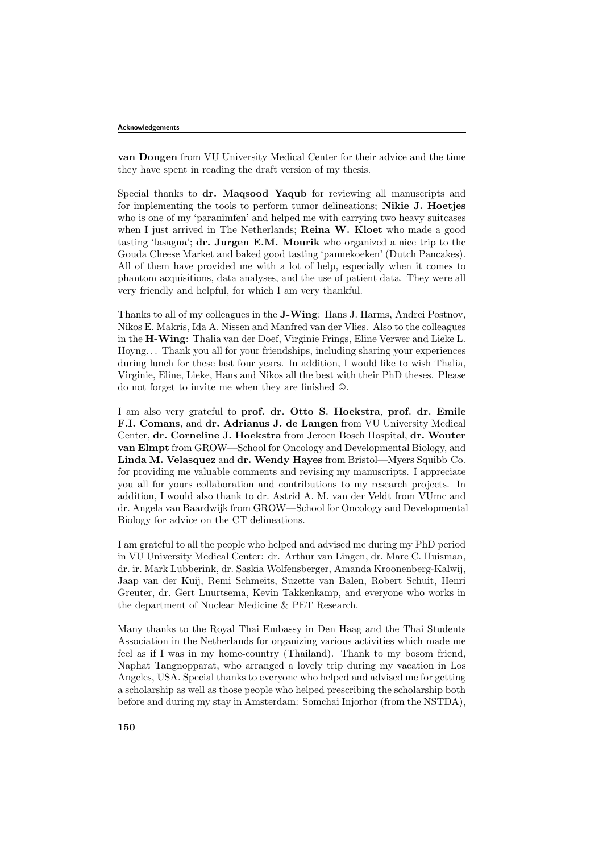van Dongen from VU University Medical Center for their advice and the time they have spent in reading the draft version of my thesis.

Special thanks to dr. Maqsood Yaqub for reviewing all manuscripts and for implementing the tools to perform tumor delineations; Nikie J. Hoetjes who is one of my 'paranimfen' and helped me with carrying two heavy suitcases when I just arrived in The Netherlands; Reina W. Kloet who made a good tasting 'lasagna'; dr. Jurgen E.M. Mourik who organized a nice trip to the Gouda Cheese Market and baked good tasting 'pannekoeken' (Dutch Pancakes). All of them have provided me with a lot of help, especially when it comes to phantom acquisitions, data analyses, and the use of patient data. They were all very friendly and helpful, for which I am very thankful.

Thanks to all of my colleagues in the J-Wing: Hans J. Harms, Andrei Postnov, Nikos E. Makris, Ida A. Nissen and Manfred van der Vlies. Also to the colleagues in the H-Wing: Thalia van der Doef, Virginie Frings, Eline Verwer and Lieke L. Hoyng. . . Thank you all for your friendships, including sharing your experiences during lunch for these last four years. In addition, I would like to wish Thalia, Virginie, Eline, Lieke, Hans and Nikos all the best with their PhD theses. Please do not forget to invite me when they are finished  $\odot$ .

I am also very grateful to prof. dr. Otto S. Hoekstra, prof. dr. Emile F.I. Comans, and dr. Adrianus J. de Langen from VU University Medical Center, dr. Corneline J. Hoekstra from Jeroen Bosch Hospital, dr. Wouter van Elmpt from GROW—School for Oncology and Developmental Biology, and Linda M. Velasquez and dr. Wendy Hayes from Bristol—Myers Squibb Co. for providing me valuable comments and revising my manuscripts. I appreciate you all for yours collaboration and contributions to my research projects. In addition, I would also thank to dr. Astrid A. M. van der Veldt from VUmc and dr. Angela van Baardwijk from GROW—School for Oncology and Developmental Biology for advice on the CT delineations.

I am grateful to all the people who helped and advised me during my PhD period in VU University Medical Center: dr. Arthur van Lingen, dr. Marc C. Huisman, dr. ir. Mark Lubberink, dr. Saskia Wolfensberger, Amanda Kroonenberg-Kalwij, Jaap van der Kuij, Remi Schmeits, Suzette van Balen, Robert Schuit, Henri Greuter, dr. Gert Luurtsema, Kevin Takkenkamp, and everyone who works in the department of Nuclear Medicine & PET Research.

Many thanks to the Royal Thai Embassy in Den Haag and the Thai Students Association in the Netherlands for organizing various activities which made me feel as if I was in my home-country (Thailand). Thank to my bosom friend, Naphat Tangnopparat, who arranged a lovely trip during my vacation in Los Angeles, USA. Special thanks to everyone who helped and advised me for getting a scholarship as well as those people who helped prescribing the scholarship both before and during my stay in Amsterdam: Somchai Injorhor (from the NSTDA),